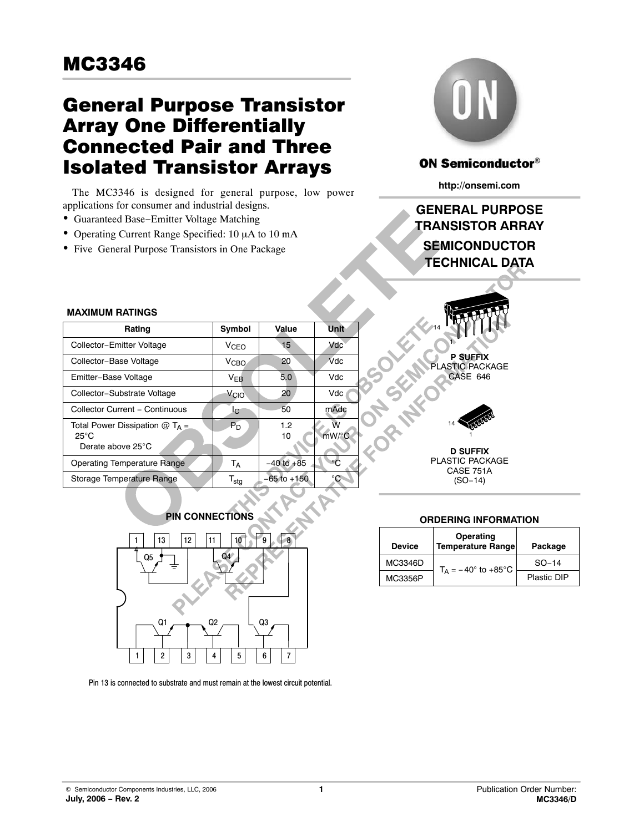## General Purpose Transistor Array One Differentially Connected Pair and Three Isolated Transistor Arrays

The MC3346 is designed for general purpose, low power applications for consumer and industrial designs.

- Guaranteed Base−Emitter Voltage Matching
- Operating Current Range Specified: 10 μA to 10 mA
- Five General Purpose Transistors in One Package



## **ON Semiconductor®**

**http://onsemi.com**

## **SEMICONDUCTOR TECHNICAL DATA GENERAL PURPOSE TRANSISTOR ARRAY**

| <b>MAXIMUM RATINGS</b>                                                              |                           |                 |             |  |
|-------------------------------------------------------------------------------------|---------------------------|-----------------|-------------|--|
| Rating                                                                              | Symbol                    | Value           | <b>Unit</b> |  |
| Collector-Emitter Voltage                                                           | $V_{CFO}$                 | 15              | Vdc         |  |
| Collector-Base Voltage                                                              | V <sub>CBO</sub>          | 20              | Vdc         |  |
| Emitter-Base Voltage                                                                | $V_{EB}$                  | 5.0             | Vdc         |  |
| Collector-Substrate Voltage                                                         | V <sub>CIO</sub>          | 20              | Vdc         |  |
| Collector Current - Continuous                                                      | l <sub>C</sub>            | 50              | mAdc        |  |
| Total Power Dissipation $@$ T <sub>A</sub> =<br>$25^{\circ}$ C<br>Derate above 25°C | $P_D$                     | 1.2<br>10       | Ŵ<br>mW/°C  |  |
| Operating Temperature Range                                                         | Тд                        | $-40$ to $+85$  |             |  |
| Storage Temperature Range                                                           | $\mathsf{T}_{\text{stg}}$ | $-65$ to $+150$ | °C          |  |



**P SUFFIX** PLASTIC PACKAGE CASE 646

14 1

**D SUFFIX** PLASTIC PACKAGE CASE 751A (SO−14)



Pin 13 is connected to substrate and must remain at the lowest circuit potential.

#### **ORDERING INFORMATION**

| Device  | Operating<br>Temperature Range | Package     |  |  |
|---------|--------------------------------|-------------|--|--|
| MC3346D | $T_{\Delta}$ = -40° to +85°C   | $SO-14$     |  |  |
| MC3356P |                                | Plastic DIP |  |  |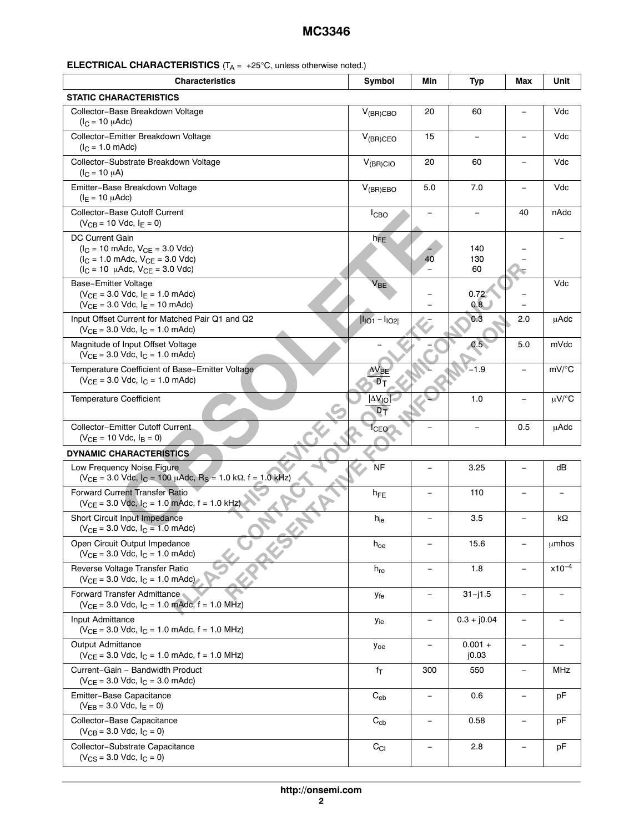| <b>ELECTRICAL CHARACTERISTICS</b> $(T_A = +25^\circ C,$ unless otherwise noted.) |  |  |  |
|----------------------------------------------------------------------------------|--|--|--|
|----------------------------------------------------------------------------------|--|--|--|

| <b>Characteristics</b>                                                                                                                                                                           | Symbol                                   | Min                      | <b>Typ</b>         | Max                      | Unit        |
|--------------------------------------------------------------------------------------------------------------------------------------------------------------------------------------------------|------------------------------------------|--------------------------|--------------------|--------------------------|-------------|
| <b>STATIC CHARACTERISTICS</b>                                                                                                                                                                    |                                          |                          |                    |                          |             |
| Collector-Base Breakdown Voltage<br>$(l_C = 10 \mu A d c)$                                                                                                                                       | $V_{(BR)CBO}$                            | 20                       | 60                 |                          | Vdc         |
| Collector-Emitter Breakdown Voltage<br>$(I_C = 1.0 \text{ m}$ Adc)                                                                                                                               | $V_{(BR)CEO}$                            | 15                       |                    |                          | Vdc         |
| Collector-Substrate Breakdown Voltage<br>$(I_C = 10 \mu A)$                                                                                                                                      | $V_{(BR)ClO}$                            | 20                       | 60                 |                          | Vdc         |
| Emitter-Base Breakdown Voltage<br>$(I_E = 10 \mu A d c)$                                                                                                                                         | $V_{(BR)EBO}$                            | 5.0                      | 7.0                |                          | Vdc         |
| Collector-Base Cutoff Current<br>$(V_{CB} = 10$ Vdc, $I_E = 0)$                                                                                                                                  | <b>I</b> CBO                             |                          |                    | 40                       | nAdc        |
| <b>DC Current Gain</b><br>$(I_C = 10 \text{ m}$ Adc, $V_{CE} = 3.0 \text{ V}$ dc)<br>$(I_C = 1.0 \text{ m}$ Adc, $V_{CE} = 3.0 \text{ V}$ dc)<br>$(I_C = 10 \mu A dc, V_{CE} = 3.0 \text{ Vdc})$ | $h_{FE}$                                 | 40                       | 140<br>130<br>60   |                          |             |
| Base-Emitter Voltage<br>$(V_{CE} = 3.0$ Vdc, $I_E = 1.0$ mAdc)<br>$(V_{CE} = 3.0$ Vdc, $I_E = 10$ mAdc)                                                                                          | $V_{BE}$                                 |                          | 0.72<br>0.8        |                          | Vdc         |
| Input Offset Current for Matched Pair Q1 and Q2<br>$(V_{CE} = 3.0$ Vdc, $I_C = 1.0$ mAdc)                                                                                                        | $I_{101} - I_{102}$                      |                          | 0.3                | 2.0                      | <b>µAdc</b> |
| Magnitude of Input Offset Voltage<br>$(V_{CE} = 3.0$ Vdc, $I_C = 1.0$ mAdc)                                                                                                                      |                                          |                          | 0.5 <sub>0</sub>   | 5.0                      | mVdc        |
| Temperature Coefficient of Base-Emitter Voltage<br>$(V_{CE} = 3.0$ Vdc, $I_C = 1.0$ mAdc)                                                                                                        | Ют                                       |                          | $-1.9$             |                          | mV/°C       |
| <b>Temperature Coefficient</b>                                                                                                                                                                   | <b>AV<sub>IO</sub></b><br>D <sub>T</sub> |                          | 1.0                | $\overline{\phantom{0}}$ | $\mu V$ /°C |
| Collector-Emitter Cutoff Current<br>$(V_{CE} = 10$ Vdc, $I_B = 0)$                                                                                                                               | <sup>I</sup> CEO                         |                          |                    | 0.5                      | <b>µAdc</b> |
| <b>DYNAMIC CHARACTERISTICS</b>                                                                                                                                                                   |                                          |                          |                    |                          |             |
| Low Frequency Noise Figure<br>$(V_{CE} = 3.0$ Vdc, $I_C = 100$ µAdc, $R_S = 1.0$ k $\Omega$ , f = 1.0 kHz)                                                                                       | <b>NF</b>                                |                          | 3.25               |                          | dB          |
| <b>Forward Current Transfer Ratio</b><br>$(V_{CE} = 3.0$ Vdc, $I_C = 1.0$ mAdc, $f = 1.0$ kHz)                                                                                                   | $h_{FE}$                                 |                          | 110                |                          |             |
| Short Circuit Input Impedance<br>$(V_{CE} = 3.0$ Vdc, $I_C = 1.0$ mAdc)                                                                                                                          | $h_{ie}$                                 |                          | 3.5                |                          | kΩ          |
| Open Circuit Output Impedance<br>$(V_{CE} = 3.0$ Vdc, $I_C = 1.0$ mAdc)                                                                                                                          | $h_{oe}$                                 |                          | 15.6               |                          | umhos       |
| Reverse Voltage Transfer Ratio<br>$(V_{CE} = 3.0$ Vdc, $I_C = 1.0$ mAdc)                                                                                                                         | $h_{re}$                                 |                          | 1.8                | $\qquad \qquad -$        | $x10^{-4}$  |
| Forward Transfer Admittance<br>$(V_{CE} = 3.0$ Vdc, $I_C = 1.0$ mAdc, $f = 1.0$ MHz)                                                                                                             | <b>y</b> fe                              |                          | $31 - j1.5$        |                          |             |
| Input Admittance<br>$(V_{CE} = 3.0$ Vdc, $I_C = 1.0$ mAdc, f = 1.0 MHz)                                                                                                                          | Уiе                                      |                          | $0.3 + j0.04$      | $\overline{\phantom{a}}$ |             |
| Output Admittance<br>$(V_{CE} = 3.0$ Vdc, $I_C = 1.0$ mAdc, f = 1.0 MHz)                                                                                                                         | У <sub>ое</sub>                          |                          | $0.001 +$<br> 0.03 | $\overline{\phantom{a}}$ |             |
| Current-Gain - Bandwidth Product<br>$(V_{CE} = 3.0$ Vdc, $I_C = 3.0$ mAdc)                                                                                                                       | $f_T$                                    | 300                      | 550                | $\overline{\phantom{a}}$ | MHz         |
| Emitter-Base Capacitance<br>$(V_{EB} = 3.0$ Vdc, $I_E = 0)$                                                                                                                                      | $\mathrm{C}_{\text{eb}}$                 | $\equiv$                 | 0.6                | $\overline{\phantom{a}}$ | рF          |
| Collector-Base Capacitance<br>$(V_{CB} = 3.0$ Vdc, $I_C = 0)$                                                                                                                                    | $C_{cb}$                                 | $\overline{\phantom{0}}$ | 0.58               | $\overline{\phantom{a}}$ | рF          |
| Collector-Substrate Capacitance<br>$(V_{CS} = 3.0$ Vdc, $I_C = 0)$                                                                                                                               | $C_{CI}$                                 |                          | 2.8                |                          | pF          |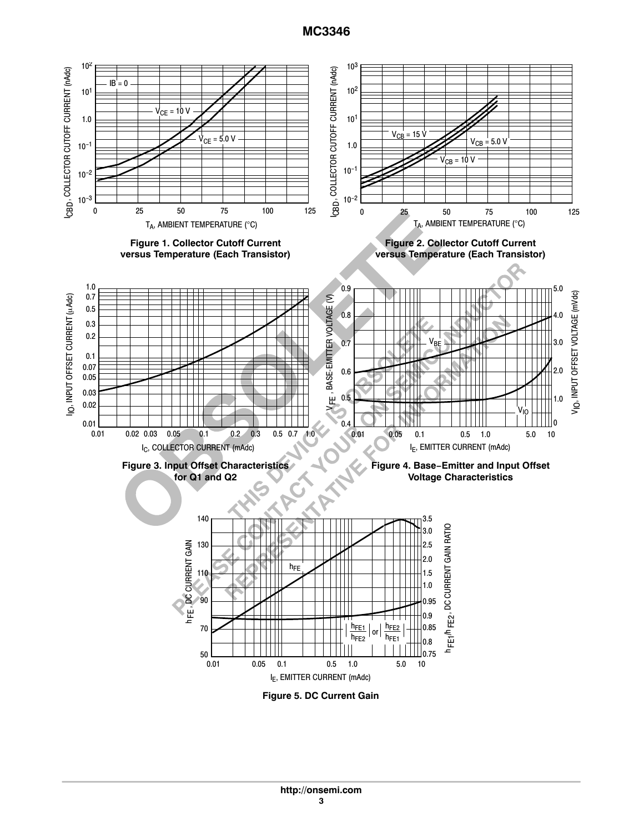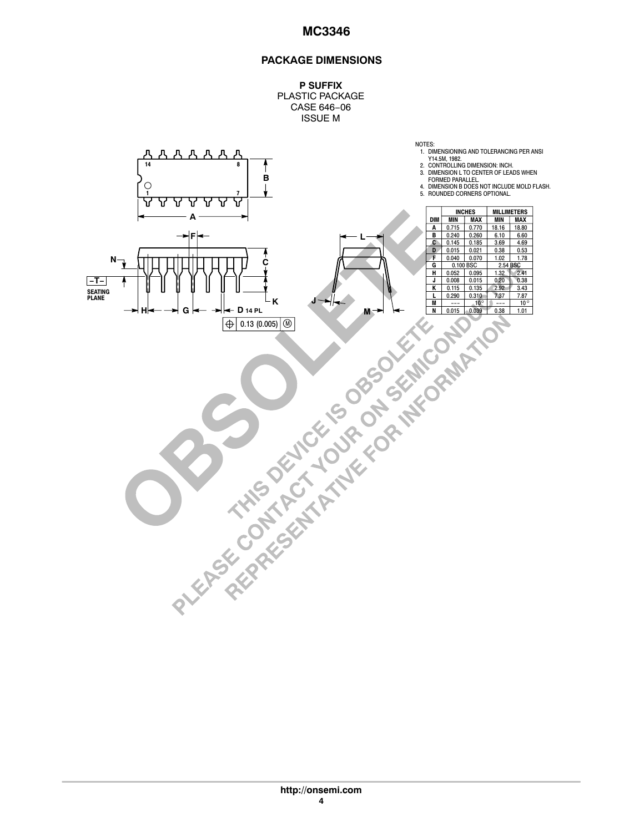#### **PACKAGE DIMENSIONS**

**P SUFFIX** PLASTIC PACKAGE CASE 646−06 ISSUE M